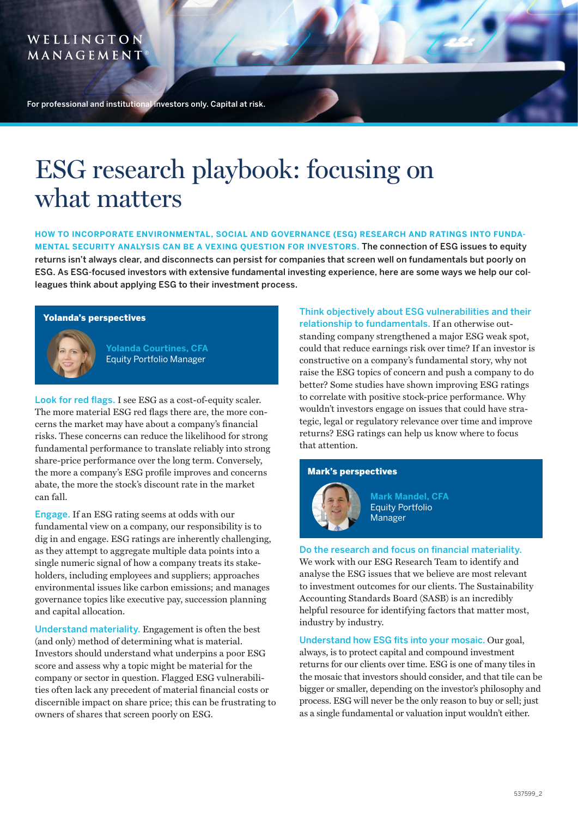# WELLINGTON MANAGEMENT

For professional and institutional investors only. Capital at risk.

# ESG research playbook: focusing on what matters

**HOW TO INCORPORATE ENVIRONMENTAL, SOCIAL AND GOVERNANCE (ESG) RESEARCH AND RATINGS INTO FUNDA-MENTAL SECURITY ANALYSIS CAN BE A VEXING QUESTION FOR INVESTORS.** The connection of ESG issues to equity returns isn't always clear, and disconnects can persist for companies that screen well on fundamentals but poorly on ESG. As ESG-focused investors with extensive fundamental investing experience, here are some ways we help our colleagues think about applying ESG to their investment process.

## Yolanda's perspectives



**Yolanda Courtines, CFA** Equity Portfolio Manager

Look for red flags. I see ESG as a cost-of-equity scaler. The more material ESG red flags there are, the more concerns the market may have about a company's financial risks. These concerns can reduce the likelihood for strong fundamental performance to translate reliably into strong share-price performance over the long term. Conversely, the more a company's ESG profile improves and concerns abate, the more the stock's discount rate in the market can fall.

Engage. If an ESG rating seems at odds with our fundamental view on a company, our responsibility is to dig in and engage. ESG ratings are inherently challenging, as they attempt to aggregate multiple data points into a single numeric signal of how a company treats its stakeholders, including employees and suppliers; approaches environmental issues like carbon emissions; and manages governance topics like executive pay, succession planning and capital allocation.

Understand materiality. Engagement is often the best (and only) method of determining what is material. Investors should understand what underpins a poor ESG score and assess why a topic might be material for the company or sector in question. Flagged ESG vulnerabilities often lack any precedent of material financial costs or discernible impact on share price; this can be frustrating to owners of shares that screen poorly on ESG.

Think objectively about ESG vulnerabilities and their relationship to fundamentals. If an otherwise outstanding company strengthened a major ESG weak spot, could that reduce earnings risk over time? If an investor is constructive on a company's fundamental story, why not raise the ESG topics of concern and push a company to do better? Some studies have shown improving ESG ratings to correlate with positive stock-price performance. Why wouldn't investors engage on issues that could have strategic, legal or regulatory relevance over time and improve returns? ESG ratings can help us know where to focus that attention.

## Mark's perspectives



**Mark Mandel, CFA** Equity Portfolio Manager

Do the research and focus on financial materiality. We work with our ESG Research Team to identify and analyse the ESG issues that we believe are most relevant to investment outcomes for our clients. The Sustainability Accounting Standards Board (SASB) is an incredibly helpful resource for identifying factors that matter most, industry by industry.

Understand how ESG fits into your mosaic. Our goal, always, is to protect capital and compound investment returns for our clients over time. ESG is one of many tiles in the mosaic that investors should consider, and that tile can be bigger or smaller, depending on the investor's philosophy and process. ESG will never be the only reason to buy or sell; just as a single fundamental or valuation input wouldn't either.